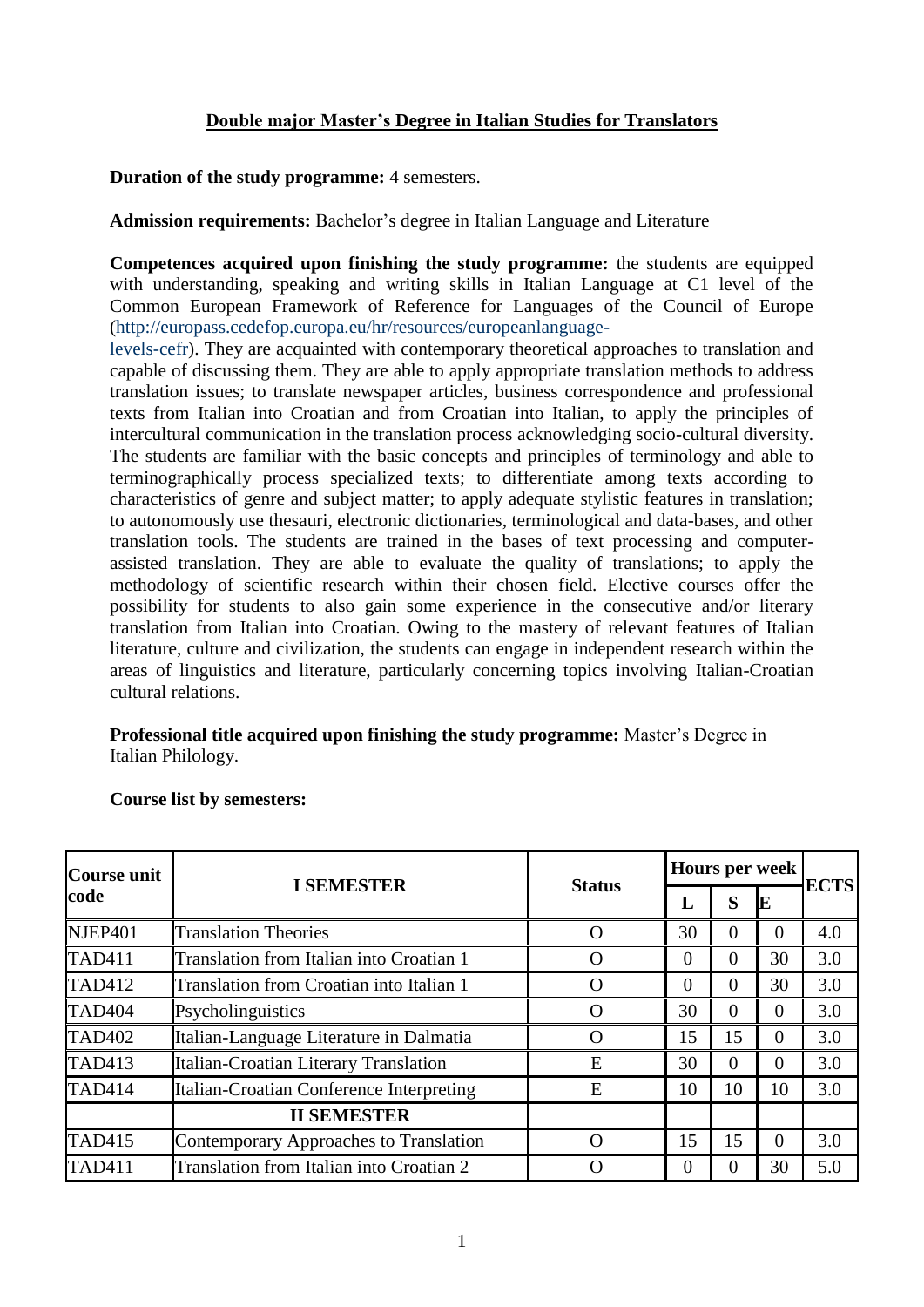## **Double major Master's Degree in Italian Studies for Translators**

**Duration of the study programme:** 4 semesters.

**Admission requirements:** Bachelor's degree in Italian Language and Literature

**Competences acquired upon finishing the study programme:** the students are equipped with understanding, speaking and writing skills in Italian Language at C1 level of the Common European Framework of Reference for Languages of the Council of Europe (http://europass.cedefop.europa.eu/hr/resources/europeanlanguage-

levels-cefr). They are acquainted with contemporary theoretical approaches to translation and capable of discussing them. They are able to apply appropriate translation methods to address translation issues; to translate newspaper articles, business correspondence and professional texts from Italian into Croatian and from Croatian into Italian, to apply the principles of intercultural communication in the translation process acknowledging socio-cultural diversity. The students are familiar with the basic concepts and principles of terminology and able to terminographically process specialized texts; to differentiate among texts according to characteristics of genre and subject matter; to apply adequate stylistic features in translation; to autonomously use thesauri, electronic dictionaries, terminological and data-bases, and other translation tools. The students are trained in the bases of text processing and computerassisted translation. They are able to evaluate the quality of translations; to apply the methodology of scientific research within their chosen field. Elective courses offer the possibility for students to also gain some experience in the consecutive and/or literary translation from Italian into Croatian. Owing to the mastery of relevant features of Italian literature, culture and civilization, the students can engage in independent research within the areas of linguistics and literature, particularly concerning topics involving Italian-Croatian cultural relations.

**Professional title acquired upon finishing the study programme:** Master's Degree in Italian Philology.

| Course unit<br>code | <b>I SEMESTER</b>                        | <b>Status</b>      | Hours per week |              |    |             |
|---------------------|------------------------------------------|--------------------|----------------|--------------|----|-------------|
|                     |                                          |                    | L              | S            | E  | <b>ECTS</b> |
| NJEP401             | <b>Translation Theories</b>              |                    | 30             | 0            | 0  | 4.0         |
| <b>TAD411</b>       | Translation from Italian into Croatian 1 | ( )                | $\Omega$       | 0            | 30 | 3.0         |
| <b>TAD412</b>       | Translation from Croatian into Italian 1 | $\mathcal{L}$      | $\Omega$       | 0            | 30 | 3.0         |
| TAD <sub>404</sub>  | Psycholinguistics                        | $\left( \ \right)$ | 30             | 0            | 0  | 3.0         |
| <b>TAD402</b>       | Italian-Language Literature in Dalmatia  | $\left( \ \right)$ | 15             | 15           | 0  | 3.0         |
| <b>TAD413</b>       | Italian-Croatian Literary Translation    | Ε                  | 30             | $\theta$     | 0  | 3.0         |
| <b>TAD414</b>       | Italian-Croatian Conference Interpreting | Ε                  | 10             | 10           | 10 | 3.0         |
|                     | <b>II SEMESTER</b>                       |                    |                |              |    |             |
| <b>TAD415</b>       | Contemporary Approaches to Translation   | ( )                | 15             | 15           | 0  | 3.0         |
| <b>TAD411</b>       | Translation from Italian into Croatian 2 |                    | $\Omega$       | $\mathbf{0}$ | 30 | 5.0         |

**Course list by semesters:**